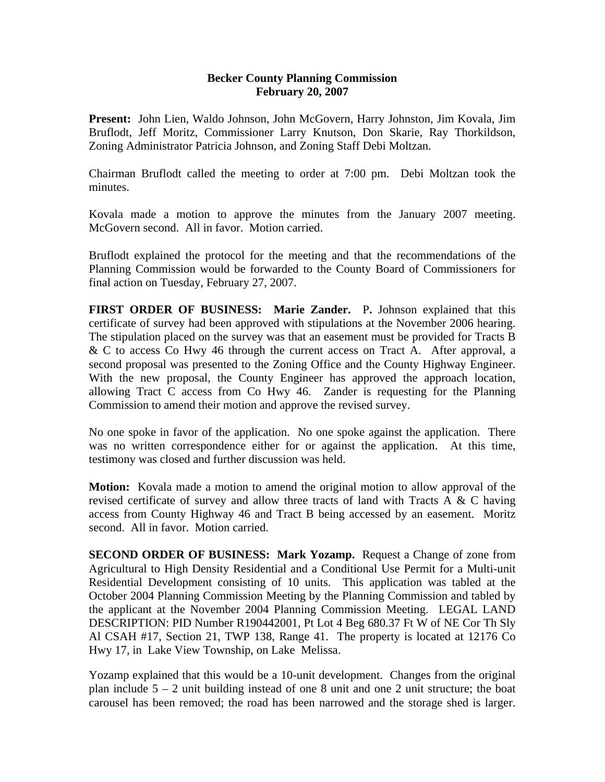## **Becker County Planning Commission February 20, 2007**

**Present:** John Lien, Waldo Johnson, John McGovern, Harry Johnston, Jim Kovala, Jim Bruflodt, Jeff Moritz, Commissioner Larry Knutson, Don Skarie, Ray Thorkildson, Zoning Administrator Patricia Johnson, and Zoning Staff Debi Moltzan.

Chairman Bruflodt called the meeting to order at 7:00 pm. Debi Moltzan took the minutes.

Kovala made a motion to approve the minutes from the January 2007 meeting. McGovern second. All in favor. Motion carried.

Bruflodt explained the protocol for the meeting and that the recommendations of the Planning Commission would be forwarded to the County Board of Commissioners for final action on Tuesday, February 27, 2007.

**FIRST ORDER OF BUSINESS: Marie Zander.** P**.** Johnson explained that this certificate of survey had been approved with stipulations at the November 2006 hearing. The stipulation placed on the survey was that an easement must be provided for Tracts B & C to access Co Hwy 46 through the current access on Tract A. After approval, a second proposal was presented to the Zoning Office and the County Highway Engineer. With the new proposal, the County Engineer has approved the approach location, allowing Tract C access from Co Hwy 46. Zander is requesting for the Planning Commission to amend their motion and approve the revised survey.

No one spoke in favor of the application. No one spoke against the application. There was no written correspondence either for or against the application. At this time, testimony was closed and further discussion was held.

**Motion:** Kovala made a motion to amend the original motion to allow approval of the revised certificate of survey and allow three tracts of land with Tracts A & C having access from County Highway 46 and Tract B being accessed by an easement. Moritz second. All in favor. Motion carried.

**SECOND ORDER OF BUSINESS: Mark Yozamp.** Request a Change of zone from Agricultural to High Density Residential and a Conditional Use Permit for a Multi-unit Residential Development consisting of 10 units. This application was tabled at the October 2004 Planning Commission Meeting by the Planning Commission and tabled by the applicant at the November 2004 Planning Commission Meeting. LEGAL LAND DESCRIPTION: PID Number R190442001, Pt Lot 4 Beg 680.37 Ft W of NE Cor Th Sly Al CSAH #17, Section 21, TWP 138, Range 41. The property is located at 12176 Co Hwy 17, in Lake View Township, on Lake Melissa.

Yozamp explained that this would be a 10-unit development. Changes from the original plan include  $5 - 2$  unit building instead of one 8 unit and one 2 unit structure; the boat carousel has been removed; the road has been narrowed and the storage shed is larger.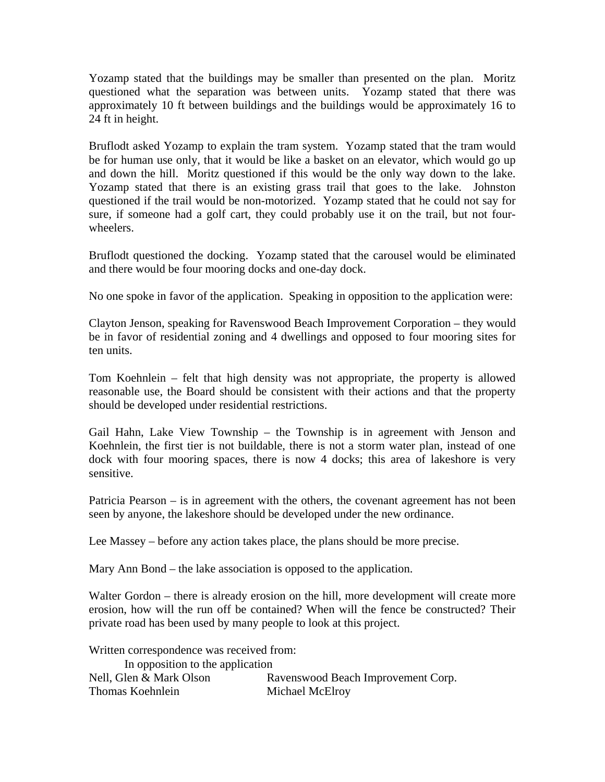Yozamp stated that the buildings may be smaller than presented on the plan. Moritz questioned what the separation was between units. Yozamp stated that there was approximately 10 ft between buildings and the buildings would be approximately 16 to 24 ft in height.

Bruflodt asked Yozamp to explain the tram system. Yozamp stated that the tram would be for human use only, that it would be like a basket on an elevator, which would go up and down the hill. Moritz questioned if this would be the only way down to the lake. Yozamp stated that there is an existing grass trail that goes to the lake. Johnston questioned if the trail would be non-motorized. Yozamp stated that he could not say for sure, if someone had a golf cart, they could probably use it on the trail, but not fourwheelers.

Bruflodt questioned the docking. Yozamp stated that the carousel would be eliminated and there would be four mooring docks and one-day dock.

No one spoke in favor of the application. Speaking in opposition to the application were:

Clayton Jenson, speaking for Ravenswood Beach Improvement Corporation – they would be in favor of residential zoning and 4 dwellings and opposed to four mooring sites for ten units.

Tom Koehnlein – felt that high density was not appropriate, the property is allowed reasonable use, the Board should be consistent with their actions and that the property should be developed under residential restrictions.

Gail Hahn, Lake View Township – the Township is in agreement with Jenson and Koehnlein, the first tier is not buildable, there is not a storm water plan, instead of one dock with four mooring spaces, there is now 4 docks; this area of lakeshore is very sensitive.

Patricia Pearson – is in agreement with the others, the covenant agreement has not been seen by anyone, the lakeshore should be developed under the new ordinance.

Lee Massey – before any action takes place, the plans should be more precise.

Mary Ann Bond – the lake association is opposed to the application.

Walter Gordon – there is already erosion on the hill, more development will create more erosion, how will the run off be contained? When will the fence be constructed? Their private road has been used by many people to look at this project.

Written correspondence was received from:

| In opposition to the application |                                    |
|----------------------------------|------------------------------------|
| Nell, Glen & Mark Olson          | Ravenswood Beach Improvement Corp. |
| Thomas Koehnlein                 | Michael McElroy                    |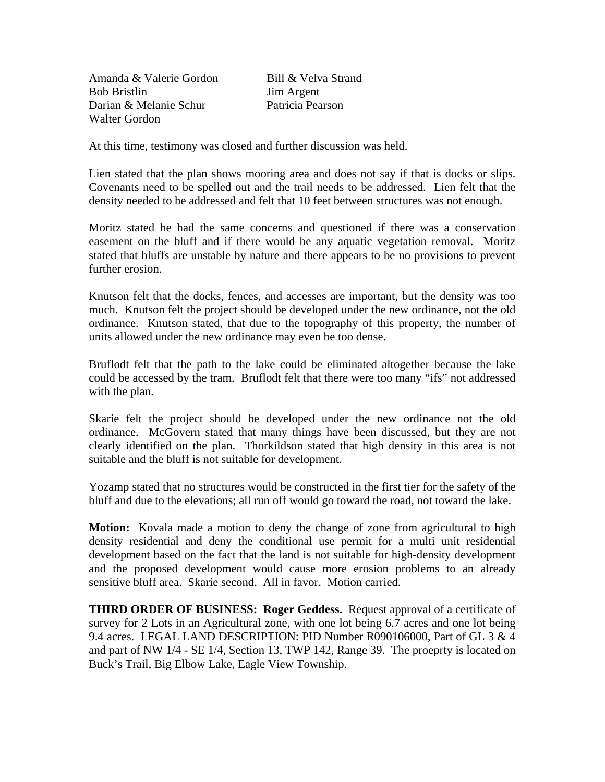Amanda & Valerie Gordon Bill & Velva Strand Bob Bristlin Jim Argent Darian & Melanie Schur Patricia Pearson Walter Gordon

At this time, testimony was closed and further discussion was held.

Lien stated that the plan shows mooring area and does not say if that is docks or slips. Covenants need to be spelled out and the trail needs to be addressed. Lien felt that the density needed to be addressed and felt that 10 feet between structures was not enough.

Moritz stated he had the same concerns and questioned if there was a conservation easement on the bluff and if there would be any aquatic vegetation removal. Moritz stated that bluffs are unstable by nature and there appears to be no provisions to prevent further erosion.

Knutson felt that the docks, fences, and accesses are important, but the density was too much. Knutson felt the project should be developed under the new ordinance, not the old ordinance. Knutson stated, that due to the topography of this property, the number of units allowed under the new ordinance may even be too dense.

Bruflodt felt that the path to the lake could be eliminated altogether because the lake could be accessed by the tram. Bruflodt felt that there were too many "ifs" not addressed with the plan.

Skarie felt the project should be developed under the new ordinance not the old ordinance. McGovern stated that many things have been discussed, but they are not clearly identified on the plan. Thorkildson stated that high density in this area is not suitable and the bluff is not suitable for development.

Yozamp stated that no structures would be constructed in the first tier for the safety of the bluff and due to the elevations; all run off would go toward the road, not toward the lake.

**Motion:** Kovala made a motion to deny the change of zone from agricultural to high density residential and deny the conditional use permit for a multi unit residential development based on the fact that the land is not suitable for high-density development and the proposed development would cause more erosion problems to an already sensitive bluff area. Skarie second. All in favor. Motion carried.

**THIRD ORDER OF BUSINESS: Roger Geddess.** Request approval of a certificate of survey for 2 Lots in an Agricultural zone, with one lot being 6.7 acres and one lot being 9.4 acres. LEGAL LAND DESCRIPTION: PID Number R090106000, Part of GL 3 & 4 and part of NW 1/4 - SE 1/4, Section 13, TWP 142, Range 39. The proeprty is located on Buck's Trail, Big Elbow Lake, Eagle View Township.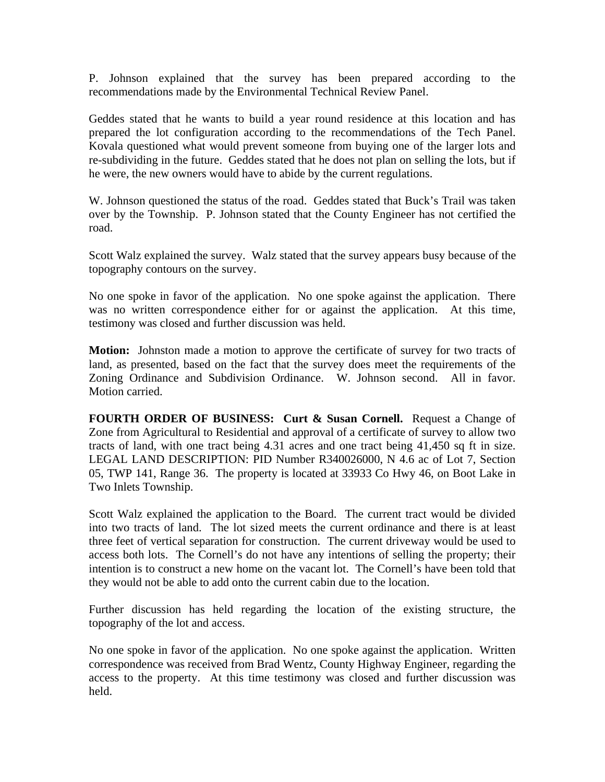P. Johnson explained that the survey has been prepared according to the recommendations made by the Environmental Technical Review Panel.

Geddes stated that he wants to build a year round residence at this location and has prepared the lot configuration according to the recommendations of the Tech Panel. Kovala questioned what would prevent someone from buying one of the larger lots and re-subdividing in the future. Geddes stated that he does not plan on selling the lots, but if he were, the new owners would have to abide by the current regulations.

W. Johnson questioned the status of the road. Geddes stated that Buck's Trail was taken over by the Township. P. Johnson stated that the County Engineer has not certified the road.

Scott Walz explained the survey. Walz stated that the survey appears busy because of the topography contours on the survey.

No one spoke in favor of the application. No one spoke against the application. There was no written correspondence either for or against the application. At this time, testimony was closed and further discussion was held.

**Motion:** Johnston made a motion to approve the certificate of survey for two tracts of land, as presented, based on the fact that the survey does meet the requirements of the Zoning Ordinance and Subdivision Ordinance. W. Johnson second. All in favor. Motion carried.

**FOURTH ORDER OF BUSINESS: Curt & Susan Cornell.** Request a Change of Zone from Agricultural to Residential and approval of a certificate of survey to allow two tracts of land, with one tract being 4.31 acres and one tract being 41,450 sq ft in size. LEGAL LAND DESCRIPTION: PID Number R340026000, N 4.6 ac of Lot 7, Section 05, TWP 141, Range 36. The property is located at 33933 Co Hwy 46, on Boot Lake in Two Inlets Township.

Scott Walz explained the application to the Board. The current tract would be divided into two tracts of land. The lot sized meets the current ordinance and there is at least three feet of vertical separation for construction. The current driveway would be used to access both lots. The Cornell's do not have any intentions of selling the property; their intention is to construct a new home on the vacant lot. The Cornell's have been told that they would not be able to add onto the current cabin due to the location.

Further discussion has held regarding the location of the existing structure, the topography of the lot and access.

No one spoke in favor of the application. No one spoke against the application. Written correspondence was received from Brad Wentz, County Highway Engineer, regarding the access to the property. At this time testimony was closed and further discussion was held.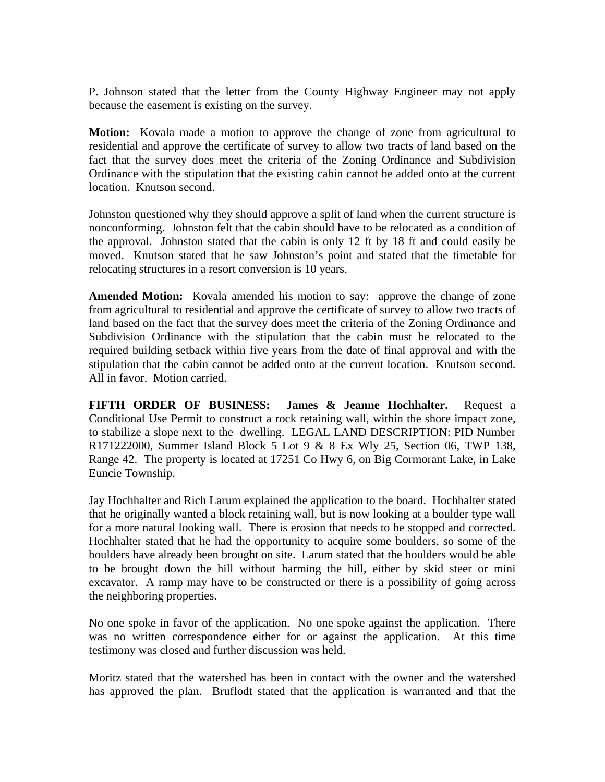P. Johnson stated that the letter from the County Highway Engineer may not apply because the easement is existing on the survey.

**Motion:** Kovala made a motion to approve the change of zone from agricultural to residential and approve the certificate of survey to allow two tracts of land based on the fact that the survey does meet the criteria of the Zoning Ordinance and Subdivision Ordinance with the stipulation that the existing cabin cannot be added onto at the current location. Knutson second.

Johnston questioned why they should approve a split of land when the current structure is nonconforming. Johnston felt that the cabin should have to be relocated as a condition of the approval. Johnston stated that the cabin is only 12 ft by 18 ft and could easily be moved. Knutson stated that he saw Johnston's point and stated that the timetable for relocating structures in a resort conversion is 10 years.

**Amended Motion:** Kovala amended his motion to say: approve the change of zone from agricultural to residential and approve the certificate of survey to allow two tracts of land based on the fact that the survey does meet the criteria of the Zoning Ordinance and Subdivision Ordinance with the stipulation that the cabin must be relocated to the required building setback within five years from the date of final approval and with the stipulation that the cabin cannot be added onto at the current location. Knutson second. All in favor. Motion carried.

**FIFTH ORDER OF BUSINESS: James & Jeanne Hochhalter.** Request a Conditional Use Permit to construct a rock retaining wall, within the shore impact zone, to stabilize a slope next to the dwelling. LEGAL LAND DESCRIPTION: PID Number R171222000, Summer Island Block 5 Lot 9 & 8 Ex Wly 25, Section 06, TWP 138, Range 42. The property is located at 17251 Co Hwy 6, on Big Cormorant Lake, in Lake Euncie Township.

Jay Hochhalter and Rich Larum explained the application to the board. Hochhalter stated that he originally wanted a block retaining wall, but is now looking at a boulder type wall for a more natural looking wall. There is erosion that needs to be stopped and corrected. Hochhalter stated that he had the opportunity to acquire some boulders, so some of the boulders have already been brought on site. Larum stated that the boulders would be able to be brought down the hill without harming the hill, either by skid steer or mini excavator. A ramp may have to be constructed or there is a possibility of going across the neighboring properties.

No one spoke in favor of the application. No one spoke against the application. There was no written correspondence either for or against the application. At this time testimony was closed and further discussion was held.

Moritz stated that the watershed has been in contact with the owner and the watershed has approved the plan. Bruflodt stated that the application is warranted and that the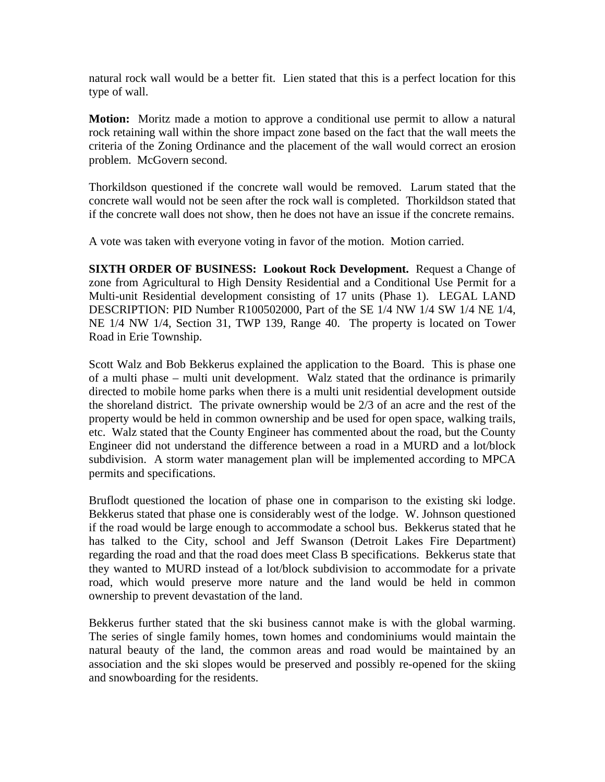natural rock wall would be a better fit. Lien stated that this is a perfect location for this type of wall.

**Motion:** Moritz made a motion to approve a conditional use permit to allow a natural rock retaining wall within the shore impact zone based on the fact that the wall meets the criteria of the Zoning Ordinance and the placement of the wall would correct an erosion problem. McGovern second.

Thorkildson questioned if the concrete wall would be removed. Larum stated that the concrete wall would not be seen after the rock wall is completed. Thorkildson stated that if the concrete wall does not show, then he does not have an issue if the concrete remains.

A vote was taken with everyone voting in favor of the motion. Motion carried.

**SIXTH ORDER OF BUSINESS: Lookout Rock Development.** Request a Change of zone from Agricultural to High Density Residential and a Conditional Use Permit for a Multi-unit Residential development consisting of 17 units (Phase 1). LEGAL LAND DESCRIPTION: PID Number R100502000, Part of the SE 1/4 NW 1/4 SW 1/4 NE 1/4, NE 1/4 NW 1/4, Section 31, TWP 139, Range 40. The property is located on Tower Road in Erie Township.

Scott Walz and Bob Bekkerus explained the application to the Board. This is phase one of a multi phase – multi unit development. Walz stated that the ordinance is primarily directed to mobile home parks when there is a multi unit residential development outside the shoreland district. The private ownership would be 2/3 of an acre and the rest of the property would be held in common ownership and be used for open space, walking trails, etc. Walz stated that the County Engineer has commented about the road, but the County Engineer did not understand the difference between a road in a MURD and a lot/block subdivision. A storm water management plan will be implemented according to MPCA permits and specifications.

Bruflodt questioned the location of phase one in comparison to the existing ski lodge. Bekkerus stated that phase one is considerably west of the lodge. W. Johnson questioned if the road would be large enough to accommodate a school bus. Bekkerus stated that he has talked to the City, school and Jeff Swanson (Detroit Lakes Fire Department) regarding the road and that the road does meet Class B specifications. Bekkerus state that they wanted to MURD instead of a lot/block subdivision to accommodate for a private road, which would preserve more nature and the land would be held in common ownership to prevent devastation of the land.

Bekkerus further stated that the ski business cannot make is with the global warming. The series of single family homes, town homes and condominiums would maintain the natural beauty of the land, the common areas and road would be maintained by an association and the ski slopes would be preserved and possibly re-opened for the skiing and snowboarding for the residents.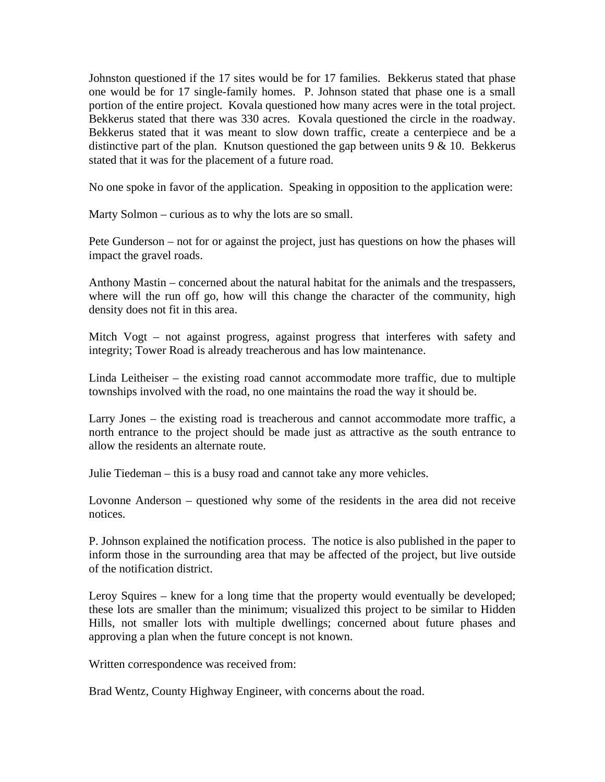Johnston questioned if the 17 sites would be for 17 families. Bekkerus stated that phase one would be for 17 single-family homes. P. Johnson stated that phase one is a small portion of the entire project. Kovala questioned how many acres were in the total project. Bekkerus stated that there was 330 acres. Kovala questioned the circle in the roadway. Bekkerus stated that it was meant to slow down traffic, create a centerpiece and be a distinctive part of the plan. Knutson questioned the gap between units  $9 < 10$ . Bekkerus stated that it was for the placement of a future road.

No one spoke in favor of the application. Speaking in opposition to the application were:

Marty Solmon – curious as to why the lots are so small.

Pete Gunderson – not for or against the project, just has questions on how the phases will impact the gravel roads.

Anthony Mastin – concerned about the natural habitat for the animals and the trespassers, where will the run off go, how will this change the character of the community, high density does not fit in this area.

Mitch Vogt – not against progress, against progress that interferes with safety and integrity; Tower Road is already treacherous and has low maintenance.

Linda Leitheiser – the existing road cannot accommodate more traffic, due to multiple townships involved with the road, no one maintains the road the way it should be.

Larry Jones – the existing road is treacherous and cannot accommodate more traffic, a north entrance to the project should be made just as attractive as the south entrance to allow the residents an alternate route.

Julie Tiedeman – this is a busy road and cannot take any more vehicles.

Lovonne Anderson – questioned why some of the residents in the area did not receive notices.

P. Johnson explained the notification process. The notice is also published in the paper to inform those in the surrounding area that may be affected of the project, but live outside of the notification district.

Leroy Squires – knew for a long time that the property would eventually be developed; these lots are smaller than the minimum; visualized this project to be similar to Hidden Hills, not smaller lots with multiple dwellings; concerned about future phases and approving a plan when the future concept is not known.

Written correspondence was received from:

Brad Wentz, County Highway Engineer, with concerns about the road.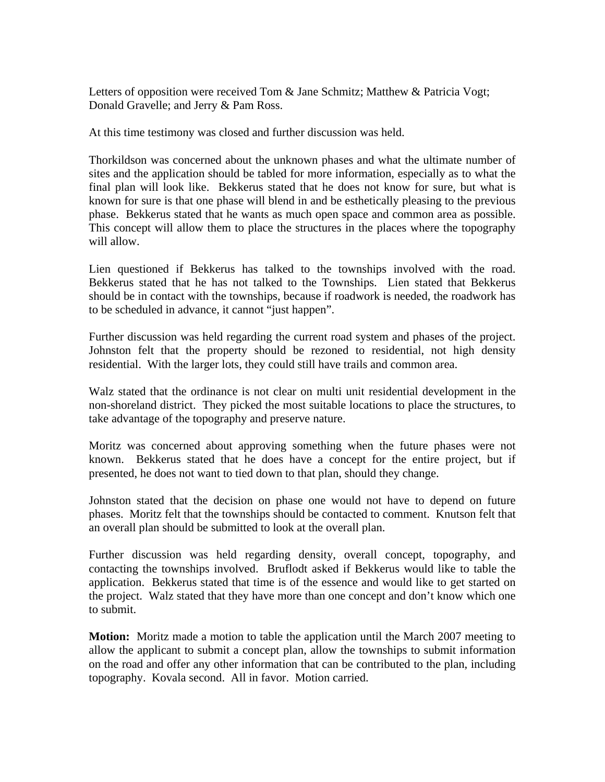Letters of opposition were received Tom & Jane Schmitz; Matthew & Patricia Vogt; Donald Gravelle; and Jerry & Pam Ross.

At this time testimony was closed and further discussion was held.

Thorkildson was concerned about the unknown phases and what the ultimate number of sites and the application should be tabled for more information, especially as to what the final plan will look like. Bekkerus stated that he does not know for sure, but what is known for sure is that one phase will blend in and be esthetically pleasing to the previous phase. Bekkerus stated that he wants as much open space and common area as possible. This concept will allow them to place the structures in the places where the topography will allow.

Lien questioned if Bekkerus has talked to the townships involved with the road. Bekkerus stated that he has not talked to the Townships. Lien stated that Bekkerus should be in contact with the townships, because if roadwork is needed, the roadwork has to be scheduled in advance, it cannot "just happen".

Further discussion was held regarding the current road system and phases of the project. Johnston felt that the property should be rezoned to residential, not high density residential. With the larger lots, they could still have trails and common area.

Walz stated that the ordinance is not clear on multi unit residential development in the non-shoreland district. They picked the most suitable locations to place the structures, to take advantage of the topography and preserve nature.

Moritz was concerned about approving something when the future phases were not known. Bekkerus stated that he does have a concept for the entire project, but if presented, he does not want to tied down to that plan, should they change.

Johnston stated that the decision on phase one would not have to depend on future phases. Moritz felt that the townships should be contacted to comment. Knutson felt that an overall plan should be submitted to look at the overall plan.

Further discussion was held regarding density, overall concept, topography, and contacting the townships involved. Bruflodt asked if Bekkerus would like to table the application. Bekkerus stated that time is of the essence and would like to get started on the project. Walz stated that they have more than one concept and don't know which one to submit.

**Motion:** Moritz made a motion to table the application until the March 2007 meeting to allow the applicant to submit a concept plan, allow the townships to submit information on the road and offer any other information that can be contributed to the plan, including topography. Kovala second. All in favor. Motion carried.